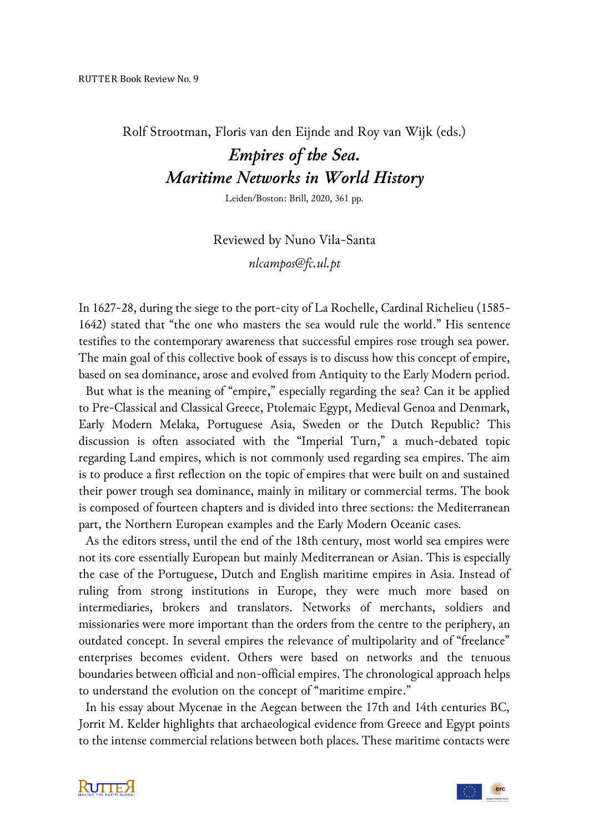Rolf Strootman, Floris van den Eijnde and Roy van Wijk (eds.)

## *Empires of the Sea. Maritime Networks in World History*

Leiden/Boston: Brill, 2020, 361 pp.

Reviewed by Nuno Vila-Santa *nlcampos@fc.ul.pt*

In 1627-28, during the siege to the port-city of La Rochelle, Cardinal Richelieu (1585- 1642) stated that "the one who masters the sea would rule the world." His sentence testifies to the contemporary awareness that successful empires rose trough sea power. The main goal of this collective book of essays is to discuss how this concept of empire, based on sea dominance, arose and evolved from Antiquity to the Early Modern period.

 But what is the meaning of "empire," especially regarding the sea? Can it be applied to Pre-Classical and Classical Greece, Ptolemaic Egypt, Medieval Genoa and Denmark, Early Modern Melaka, Portuguese Asia, Sweden or the Dutch Republic? This discussion is often associated with the "Imperial Turn," a much-debated topic regarding Land empires, which is not commonly used regarding sea empires. The aim is to produce a first reflection on the topic of empires that were built on and sustained their power trough sea dominance, mainly in military or commercial terms. The book is composed of fourteen chapters and is divided into three sections: the Mediterranean part, the Northern European examples and the Early Modern Oceanic cases.

 As the editors stress, until the end of the 18th century, most world sea empires were not its core essentially European but mainly Mediterranean or Asian. This is especially the case of the Portuguese, Dutch and English maritime empires in Asia. Instead of ruling from strong institutions in Europe, they were much more based on intermediaries, brokers and translators. Networks of merchants, soldiers and missionaries were more important than the orders from the centre to the periphery, an outdated concept. In several empires the relevance of multipolarity and of "freelance" enterprises becomes evident. Others were based on networks and the tenuous boundaries between official and non-official empires. The chronological approach helps to understand the evolution on the concept of "maritime empire."

 In his essay about Mycenae in the Aegean between the 17th and 14th centuries BC, Jorrit M. Kelder highlights that archaeological evidence from Greece and Egypt points to the intense commercial relations between both places. These maritime contacts were

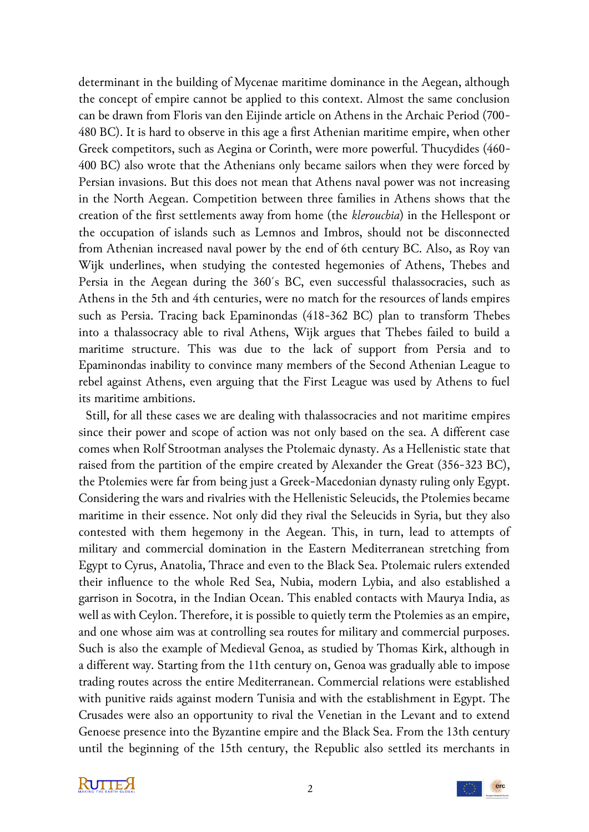determinant in the building of Mycenae maritime dominance in the Aegean, although the concept of empire cannot be applied to this context. Almost the same conclusion can be drawn from Floris van den Eijinde article on Athens in the Archaic Period (700- 480 BC). It is hard to observe in this age a first Athenian maritime empire, when other Greek competitors, such as Aegina or Corinth, were more powerful. Thucydides (460- 400 BC) also wrote that the Athenians only became sailors when they were forced by Persian invasions. But this does not mean that Athens naval power was not increasing in the North Aegean. Competition between three families in Athens shows that the creation of the first settlements away from home (the *klerouchia*) in the Hellespont or the occupation of islands such as Lemnos and Imbros, should not be disconnected from Athenian increased naval power by the end of 6th century BC. Also, as Roy van Wijk underlines, when studying the contested hegemonies of Athens, Thebes and Persia in the Aegean during the 360´s BC, even successful thalassocracies, such as Athens in the 5th and 4th centuries, were no match for the resources of lands empires such as Persia. Tracing back Epaminondas (418-362 BC) plan to transform Thebes into a thalassocracy able to rival Athens, Wijk argues that Thebes failed to build a maritime structure. This was due to the lack of support from Persia and to Epaminondas inability to convince many members of the Second Athenian League to rebel against Athens, even arguing that the First League was used by Athens to fuel its maritime ambitions.

 Still, for all these cases we are dealing with thalassocracies and not maritime empires since their power and scope of action was not only based on the sea. A different case comes when Rolf Strootman analyses the Ptolemaic dynasty. As a Hellenistic state that raised from the partition of the empire created by Alexander the Great (356-323 BC), the Ptolemies were far from being just a Greek-Macedonian dynasty ruling only Egypt. Considering the wars and rivalries with the Hellenistic Seleucids, the Ptolemies became maritime in their essence. Not only did they rival the Seleucids in Syria, but they also contested with them hegemony in the Aegean. This, in turn, lead to attempts of military and commercial domination in the Eastern Mediterranean stretching from Egypt to Cyrus, Anatolia, Thrace and even to the Black Sea. Ptolemaic rulers extended their influence to the whole Red Sea, Nubia, modern Lybia, and also established a garrison in Socotra, in the Indian Ocean. This enabled contacts with Maurya India, as well as with Ceylon. Therefore, it is possible to quietly term the Ptolemies as an empire, and one whose aim was at controlling sea routes for military and commercial purposes. Such is also the example of Medieval Genoa, as studied by Thomas Kirk, although in a different way. Starting from the 11th century on, Genoa was gradually able to impose trading routes across the entire Mediterranean. Commercial relations were established with punitive raids against modern Tunisia and with the establishment in Egypt. The Crusades were also an opportunity to rival the Venetian in the Levant and to extend Genoese presence into the Byzantine empire and the Black Sea. From the 13th century until the beginning of the 15th century, the Republic also settled its merchants in

**KUTTEX** 

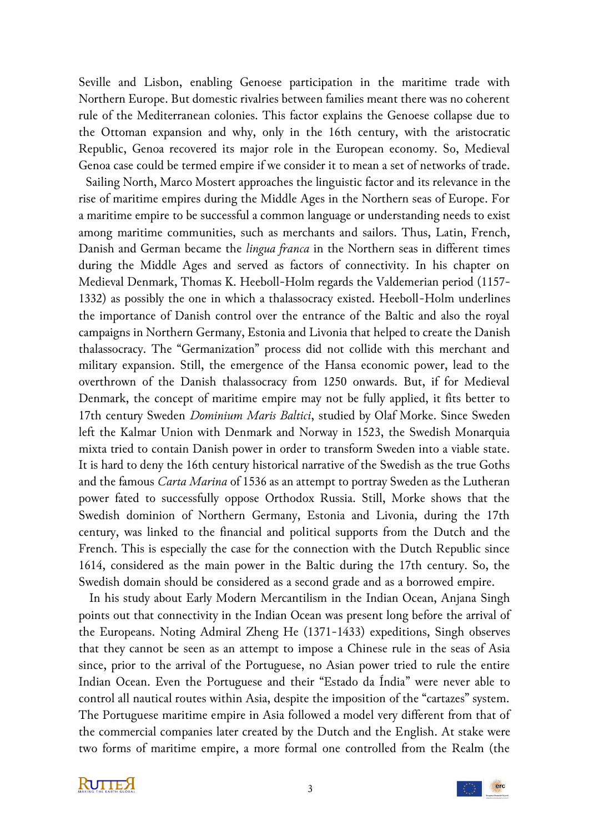Seville and Lisbon, enabling Genoese participation in the maritime trade with Northern Europe. But domestic rivalries between families meant there was no coherent rule of the Mediterranean colonies. This factor explains the Genoese collapse due to the Ottoman expansion and why, only in the 16th century, with the aristocratic Republic, Genoa recovered its major role in the European economy. So, Medieval Genoa case could be termed empire if we consider it to mean a set of networks of trade.

 Sailing North, Marco Mostert approaches the linguistic factor and its relevance in the rise of maritime empires during the Middle Ages in the Northern seas of Europe. For a maritime empire to be successful a common language or understanding needs to exist among maritime communities, such as merchants and sailors. Thus, Latin, French, Danish and German became the *lingua franca* in the Northern seas in different times during the Middle Ages and served as factors of connectivity. In his chapter on Medieval Denmark, Thomas K. Heeboll-Holm regards the Valdemerian period (1157- 1332) as possibly the one in which a thalassocracy existed. Heeboll-Holm underlines the importance of Danish control over the entrance of the Baltic and also the royal campaigns in Northern Germany, Estonia and Livonia that helped to create the Danish thalassocracy. The "Germanization" process did not collide with this merchant and military expansion. Still, the emergence of the Hansa economic power, lead to the overthrown of the Danish thalassocracy from 1250 onwards. But, if for Medieval Denmark, the concept of maritime empire may not be fully applied, it fits better to 17th century Sweden *Dominium Maris Baltici*, studied by Olaf Morke. Since Sweden left the Kalmar Union with Denmark and Norway in 1523, the Swedish Monarquia mixta tried to contain Danish power in order to transform Sweden into a viable state. It is hard to deny the 16th century historical narrative of the Swedish as the true Goths and the famous *Carta Marina* of 1536 as an attempt to portray Sweden as the Lutheran power fated to successfully oppose Orthodox Russia. Still, Morke shows that the Swedish dominion of Northern Germany, Estonia and Livonia, during the 17th century, was linked to the financial and political supports from the Dutch and the French. This is especially the case for the connection with the Dutch Republic since 1614, considered as the main power in the Baltic during the 17th century. So, the Swedish domain should be considered as a second grade and as a borrowed empire.

 In his study about Early Modern Mercantilism in the Indian Ocean, Anjana Singh points out that connectivity in the Indian Ocean was present long before the arrival of the Europeans. Noting Admiral Zheng He (1371-1433) expeditions, Singh observes that they cannot be seen as an attempt to impose a Chinese rule in the seas of Asia since, prior to the arrival of the Portuguese, no Asian power tried to rule the entire Indian Ocean. Even the Portuguese and their "Estado da Índia" were never able to control all nautical routes within Asia, despite the imposition of the "cartazes" system. The Portuguese maritime empire in Asia followed a model very different from that of the commercial companies later created by the Dutch and the English. At stake were two forms of maritime empire, a more formal one controlled from the Realm (the

**KUTTEX** 

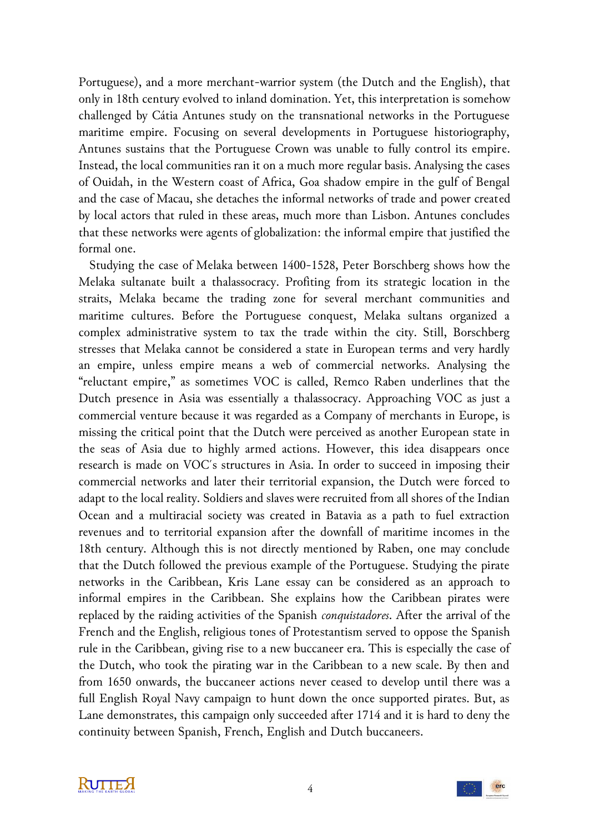Portuguese), and a more merchant-warrior system (the Dutch and the English), that only in 18th century evolved to inland domination. Yet, this interpretation is somehow challenged by Cátia Antunes study on the transnational networks in the Portuguese maritime empire. Focusing on several developments in Portuguese historiography, Antunes sustains that the Portuguese Crown was unable to fully control its empire. Instead, the local communities ran it on a much more regular basis. Analysing the cases of Ouidah, in the Western coast of Africa, Goa shadow empire in the gulf of Bengal and the case of Macau, she detaches the informal networks of trade and power created by local actors that ruled in these areas, much more than Lisbon. Antunes concludes that these networks were agents of globalization: the informal empire that justified the formal one.

 Studying the case of Melaka between 1400-1528, Peter Borschberg shows how the Melaka sultanate built a thalassocracy. Profiting from its strategic location in the straits, Melaka became the trading zone for several merchant communities and maritime cultures. Before the Portuguese conquest, Melaka sultans organized a complex administrative system to tax the trade within the city. Still, Borschberg stresses that Melaka cannot be considered a state in European terms and very hardly an empire, unless empire means a web of commercial networks. Analysing the "reluctant empire," as sometimes VOC is called, Remco Raben underlines that the Dutch presence in Asia was essentially a thalassocracy. Approaching VOC as just a commercial venture because it was regarded as a Company of merchants in Europe, is missing the critical point that the Dutch were perceived as another European state in the seas of Asia due to highly armed actions. However, this idea disappears once research is made on VOC´s structures in Asia. In order to succeed in imposing their commercial networks and later their territorial expansion, the Dutch were forced to adapt to the local reality. Soldiers and slaves were recruited from all shores of the Indian Ocean and a multiracial society was created in Batavia as a path to fuel extraction revenues and to territorial expansion after the downfall of maritime incomes in the 18th century. Although this is not directly mentioned by Raben, one may conclude that the Dutch followed the previous example of the Portuguese. Studying the pirate networks in the Caribbean, Kris Lane essay can be considered as an approach to informal empires in the Caribbean. She explains how the Caribbean pirates were replaced by the raiding activities of the Spanish *conquistadores*. After the arrival of the French and the English, religious tones of Protestantism served to oppose the Spanish rule in the Caribbean, giving rise to a new buccaneer era. This is especially the case of the Dutch, who took the pirating war in the Caribbean to a new scale. By then and from 1650 onwards, the buccaneer actions never ceased to develop until there was a full English Royal Navy campaign to hunt down the once supported pirates. But, as Lane demonstrates, this campaign only succeeded after 1714 and it is hard to deny the continuity between Spanish, French, English and Dutch buccaneers.